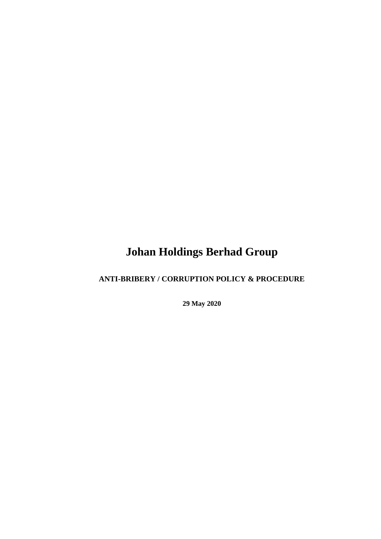# **Johan Holdings Berhad Group**

# **ANTI-BRIBERY / CORRUPTION POLICY & PROCEDURE**

**29 May 2020**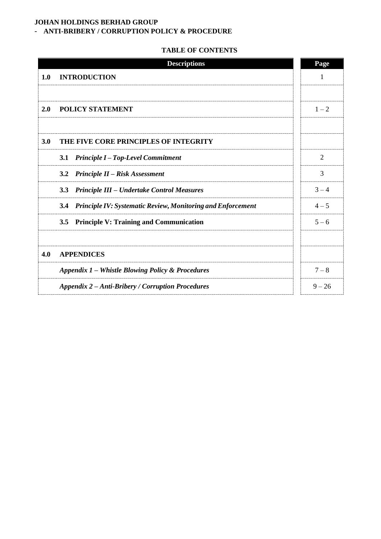# **JOHAN HOLDINGS BERHAD GROUP**

# - **ANTI-BRIBERY / CORRUPTION POLICY & PROCEDURE**

# **TABLE OF CONTENTS**

|     | <b>Descriptions</b>                                                       | Page           |  |  |  |
|-----|---------------------------------------------------------------------------|----------------|--|--|--|
| 1.0 | <b>INTRODUCTION</b>                                                       | 1              |  |  |  |
|     |                                                                           |                |  |  |  |
| 2.0 | POLICY STATEMENT                                                          | $1 - 2$        |  |  |  |
|     |                                                                           |                |  |  |  |
| 3.0 | THE FIVE CORE PRINCIPLES OF INTEGRITY                                     |                |  |  |  |
|     | <b>Principle I-Top-Level Commitment</b><br><b>3.1</b>                     | $\overline{2}$ |  |  |  |
|     | Principle II - Risk Assessment<br>3.2                                     | 3              |  |  |  |
|     | 3.3<br><b>Principle III – Undertake Control Measures</b>                  | $3 - 4$        |  |  |  |
|     | 3.4<br><b>Principle IV: Systematic Review, Monitoring and Enforcement</b> | $4 - 5$        |  |  |  |
|     | <b>Principle V: Training and Communication</b><br>3.5                     | $5 - 6$        |  |  |  |
|     |                                                                           |                |  |  |  |
| 4.0 | <b>APPENDICES</b>                                                         |                |  |  |  |
|     | Appendix 1 – Whistle Blowing Policy & Procedures                          |                |  |  |  |
|     | <b>Appendix 2 – Anti-Bribery / Corruption Procedures</b>                  | $9 - 26$       |  |  |  |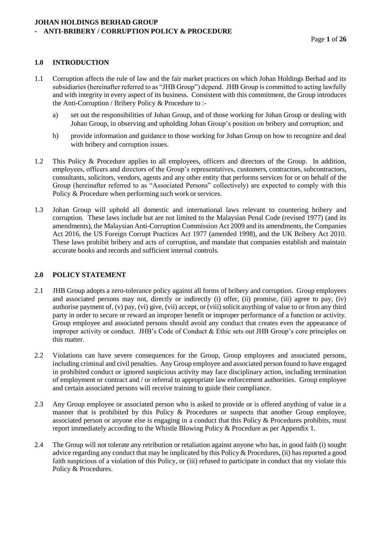# **1.0 INTRODUCTION**

- 1.1 Corruption affects the rule of law and the fair market practices on which Johan Holdings Berhad and its subsidiaries (hereinafter referred to as "JHB Group") depend. JHB Group is committed to acting lawfully and with integrity in every aspect of its business. Consistent with this commitment, the Group introduces the Anti-Corruption / Bribery Policy & Procedure to :
	- a) set out the responsibilities of Johan Group, and of those working for Johan Group or dealing with Johan Group, in observing and upholding Johan Group's position on bribery and corruption; and
	- b) provide information and guidance to those working for Johan Group on how to recognize and deal with bribery and corruption issues.
- 1.2 This Policy & Procedure applies to all employees, officers and directors of the Group. In addition, employees, officers and directors of the Group's representatives, customers, contractors, subcontractors, consultants, solicitors, vendors, agents and any other entity that performs services for or on behalf of the Group (hereinafter referred to as "Associated Persons" collectively) are expected to comply with this Policy & Procedure when performing such work or services.
- 1.3 Johan Group will uphold all domestic and international laws relevant to countering bribery and corruption. These laws include but are not limited to the Malaysian Penal Code (revised 1977) (and its amendments), the Malaysian Anti-Corruption Commission Act 2009 and its amendments, the Companies Act 2016, the US Foreign Corrupt Practices Act 1977 (amended 1998), and the UK Bribery Act 2010. These laws prohibit bribery and acts of corruption, and mandate that companies establish and maintain accurate books and records and sufficient internal controls.

#### **2.0 POLICY STATEMENT**

- 2.1 JHB Group adopts a zero-tolerance policy against all forms of bribery and corruption. Group employees and associated persons may not, directly or indirectly (i) offer, (ii) promise, (iii) agree to pay, (iv) authorise payment of, (v) pay, (vi) give, (vii) accept, or (viii) solicit anything of value to or from any third party in order to secure or reward an improper benefit or improper performance of a function or activity. Group employee and associated persons should avoid any conduct that creates even the appearance of improper activity or conduct. JHB's Code of Conduct & Ethic sets out JHB Group's core principles on this matter.
- 2.2 Violations can have severe consequences for the Group, Group employees and associated persons, including criminal and civil penalties. Any Group employee and associated person found to have engaged in prohibited conduct or ignored suspicious activity may face disciplinary action, including termination of employment or contract and / or referral to appropriate law enforcement authorities. Group employee and certain associated persons will receive training to guide their compliance.
- 2.3 Any Group employee or associated person who is asked to provide or is offered anything of value in a manner that is prohibited by this Policy & Procedures or suspects that another Group employee, associated person or anyone else is engaging in a conduct that this Policy & Procedures prohibits, must report immediately according to the Whistle Blowing Policy & Procedure as per Appendix 1.
- 2.4 The Group will not tolerate any retribution or retaliation against anyone who has, in good faith (i) sought advice regarding any conduct that may be implicated by this Policy & Procedures, (ii) has reported a good faith suspicious of a violation of this Policy, or (iii) refused to participate in conduct that my violate this Policy & Procedures.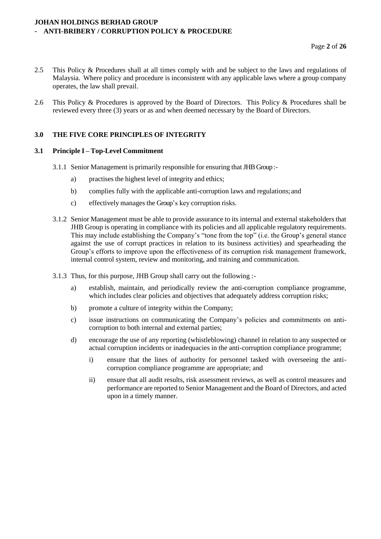- 2.5 This Policy & Procedures shall at all times comply with and be subject to the laws and regulations of Malaysia. Where policy and procedure is inconsistent with any applicable laws where a group company operates, the law shall prevail.
- 2.6 This Policy & Procedures is approved by the Board of Directors. This Policy & Procedures shall be reviewed every three (3) years or as and when deemed necessary by the Board of Directors.

# **3.0 THE FIVE CORE PRINCIPLES OF INTEGRITY**

#### **3.1 Principle I – Top-Level Commitment**

- 3.1.1 Senior Management is primarily responsible for ensuring that JHB Group :
	- a) practises the highest level of integrity and ethics;
	- b) complies fully with the applicable anti-corruption laws and regulations;and
	- c) effectively manages the Group's key corruption risks.
- 3.1.2 Senior Management must be able to provide assurance to its internal and external stakeholders that JHB Group is operating in compliance with its policies and all applicable regulatory requirements. This may include establishing the Company's "tone from the top" (i.e. the Group's general stance against the use of corrupt practices in relation to its business activities) and spearheading the Group's efforts to improve upon the effectiveness of its corruption risk management framework, internal control system, review and monitoring, and training and communication.
- 3.1.3 Thus, for this purpose, JHB Group shall carry out the following :
	- a) establish, maintain, and periodically review the anti-corruption compliance programme, which includes clear policies and objectives that adequately address corruption risks;
	- b) promote a culture of integrity within the Company;
	- c) issue instructions on communicating the Company's policies and commitments on anticorruption to both internal and external parties;
	- d) encourage the use of any reporting (whistleblowing) channel in relation to any suspected or actual corruption incidents or inadequacies in the anti-corruption compliance programme;
		- i) ensure that the lines of authority for personnel tasked with overseeing the anticorruption compliance programme are appropriate; and
		- ii) ensure that all audit results, risk assessment reviews, as well as control measures and performance are reported to Senior Management and the Board of Directors, and acted upon in a timely manner.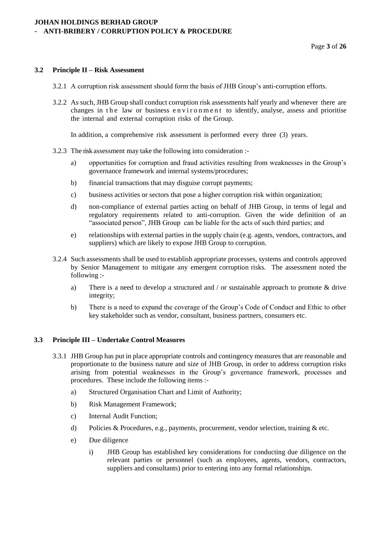#### **3.2 Principle II – Risk Assessment**

- 3.2.1 A corruption risk assessment should form the basis of JHB Group's anti-corruption efforts.
- 3.2.2 As such, JHB Group shall conduct corruption risk assessments half yearly and whenever there are changes in the law or business environment to identify, analyse, assess and prioritise the internal and external corruption risks of the Group.

In addition, a comprehensive risk assessment is performed every three (3) years.

- 3.2.3 The risk assessment may take the following into consideration :
	- a) opportunities for corruption and fraud activities resulting from weaknesses in the Group's governance framework and internal systems/procedures;
	- b) financial transactions that may disguise corrupt payments;
	- c) business activities or sectors that pose a higher corruption risk within organization;
	- d) non-compliance of external parties acting on behalf of JHB Group, in terms of legal and regulatory requirements related to anti-corruption. Given the wide definition of an "associated person", JHB Group can be liable for the acts of such third parties; and
	- e) relationships with external parties in the supply chain (e.g. agents, vendors, contractors, and suppliers) which are likely to expose JHB Group to corruption.
- 3.2.4 Such assessments shall be used to establish appropriate processes, systems and controls approved by Senior Management to mitigate any emergent corruption risks. The assessment noted the following :
	- a) There is a need to develop a structured and / or sustainable approach to promote & drive integrity;
	- b) There is a need to expand the coverage of the Group's Code of Conduct and Ethic to other key stakeholder such as vendor, consultant, business partners, consumers etc.

## **3.3 Principle III – Undertake Control Measures**

- 3.3.1 JHB Group has put in place appropriate controls and contingency measures that are reasonable and proportionate to the business nature and size of JHB Group, in order to address corruption risks arising from potential weaknesses in the Group's governance framework, processes and procedures. These include the following items :
	- a) Structured Organisation Chart and Limit of Authority;
	- b) Risk Management Framework;
	- c) Internal Audit Function;
	- d) Policies & Procedures, e.g., payments, procurement, vendor selection, training & etc.
	- e) Due diligence
		- i) JHB Group has established key considerations for conducting due diligence on the relevant parties or personnel (such as employees, agents, vendors, contractors, suppliers and consultants) prior to entering into any formal relationships.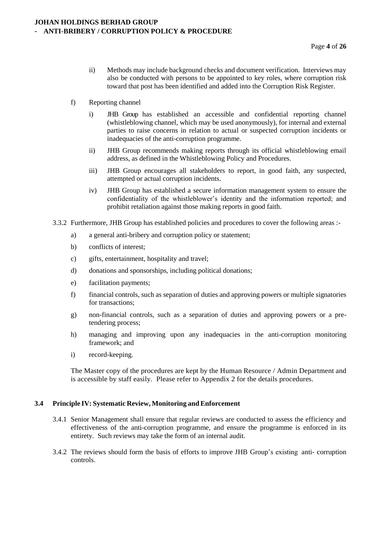- ii) Methods may include background checks and document verification. Interviews may also be conducted with persons to be appointed to key roles, where corruption risk toward that post has been identified and added into the Corruption Risk Register.
- f) Reporting channel
	- i) JHB Group has established an accessible and confidential reporting channel (whistleblowing channel, which may be used anonymously), for internal and external parties to raise concerns in relation to actual or suspected corruption incidents or inadequacies of the anti-corruption programme.
	- ii) JHB Group recommends making reports through its official whistleblowing email address, as defined in the Whistleblowing Policy and Procedures.
	- iii) JHB Group encourages all stakeholders to report, in good faith, any suspected, attempted or actual corruption incidents.
	- iv) JHB Group has established a secure information management system to ensure the confidentiality of the whistleblower's identity and the information reported; and prohibit retaliation against those making reports in good faith.
- 3.3.2 Furthermore, JHB Group has established policies and procedures to cover the following areas :
	- a) a general anti-bribery and corruption policy or statement;
	- b) conflicts of interest;
	- c) gifts, entertainment, hospitality and travel;
	- d) donations and sponsorships, including political donations;
	- e) facilitation payments;
	- f) financial controls, such as separation of duties and approving powers or multiple signatories for transactions;
	- g) non-financial controls, such as a separation of duties and approving powers or a pretendering process;
	- h) managing and improving upon any inadequacies in the anti-corruption monitoring framework; and
	- i) record-keeping.

The Master copy of the procedures are kept by the Human Resource / Admin Department and is accessible by staff easily. Please refer to Appendix 2 for the details procedures.

#### **3.4 Principle IV: Systematic Review, Monitoring andEnforcement**

- 3.4.1 Senior Management shall ensure that regular reviews are conducted to assess the efficiency and effectiveness of the anti-corruption programme, and ensure the programme is enforced in its entirety. Such reviews may take the form of an internal audit.
- 3.4.2 The reviews should form the basis of efforts to improve JHB Group's existing anti- corruption controls.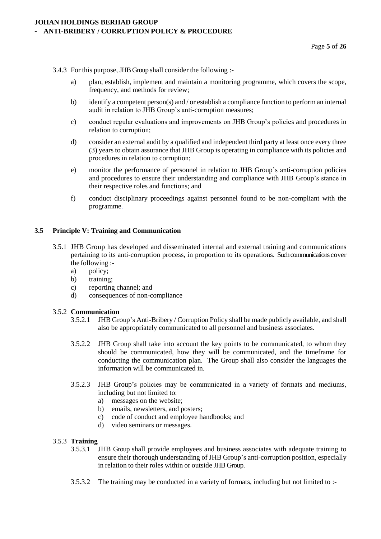#### 3.4.3 For this purpose, JHB Group shall consider the following :-

- a) plan, establish, implement and maintain a monitoring programme, which covers the scope, frequency, and methods for review;
- b) identify a competent person(s) and / or establish a compliance function to perform an internal audit in relation to JHB Group's anti-corruption measures;
- c) conduct regular evaluations and improvements on JHB Group's policies and procedures in relation to corruption;
- d) consider an external audit by a qualified and independent third party at least once every three (3) years to obtain assurance that JHB Group is operating in compliance with its policies and procedures in relation to corruption;
- e) monitor the performance of personnel in relation to JHB Group's anti-corruption policies and procedures to ensure their understanding and compliance with JHB Group's stance in their respective roles and functions; and
- f) conduct disciplinary proceedings against personnel found to be non-compliant with the programme.

# **3.5 Principle V: Training and Communication**

- 3.5.1 JHB Group has developed and disseminated internal and external training and communications pertaining to its anti-corruption process, in proportion to its operations. Such communications cover the following :
	- a) policy;
	- b) training;
	- c) reporting channel; and
	- d) consequences of non-compliance

#### 3.5.2 **Communication**

- 3.5.2.1 JHB Group's Anti-Bribery / Corruption Policy shall be made publicly available, and shall also be appropriately communicated to all personnel and business associates.
- 3.5.2.2 JHB Group shall take into account the key points to be communicated, to whom they should be communicated, how they will be communicated, and the timeframe for conducting the communication plan. The Group shall also consider the languages the information will be communicated in.
- 3.5.2.3 JHB Group's policies may be communicated in a variety of formats and mediums, including but not limited to:
	- a) messages on the website;
	- b) emails, newsletters, and posters;
	- c) code of conduct and employee handbooks; and
	- d) video seminars or messages.

#### 3.5.3 **Training**

- 3.5.3.1 JHB Group shall provide employees and business associates with adequate training to ensure their thorough understanding of JHB Group's anti-corruption position, especially in relation to their roles within or outside JHB Group.
- 3.5.3.2 The training may be conducted in a variety of formats, including but not limited to :-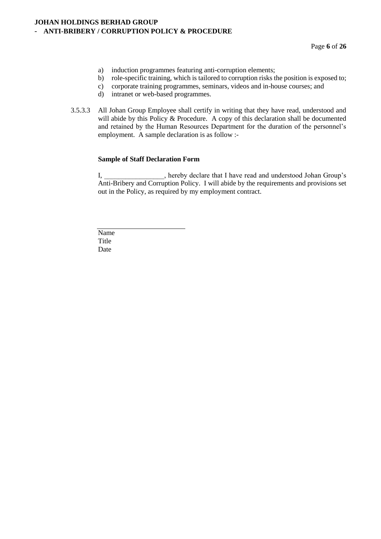Page **6** of **26**

- a) induction programmes featuring anti-corruption elements;
- b) role-specific training, which is tailored to corruption risks the position is exposed to;
- c) corporate training programmes, seminars, videos and in-house courses; and d) intranet or web-based programmes.
- intranet or web-based programmes.
- 3.5.3.3 All Johan Group Employee shall certify in writing that they have read, understood and will abide by this Policy & Procedure. A copy of this declaration shall be documented and retained by the Human Resources Department for the duration of the personnel's employment. A sample declaration is as follow :-

#### **Sample of Staff Declaration Form**

I, \_\_\_\_\_\_\_\_\_\_\_\_\_\_\_\_\_, hereby declare that I have read and understood Johan Group's Anti-Bribery and Corruption Policy. I will abide by the requirements and provisions set out in the Policy, as required by my employment contract.

Name Title Date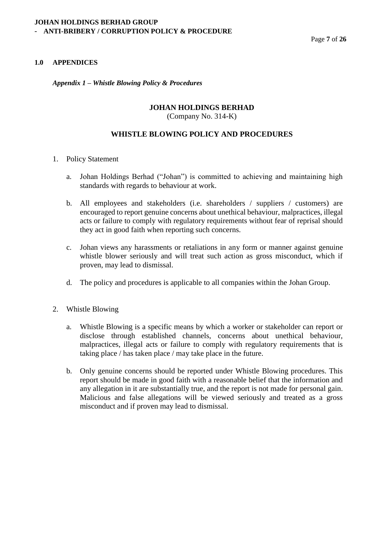# **1.0 APPENDICES**

*Appendix 1 – Whistle Blowing Policy & Procedures*

# **JOHAN HOLDINGS BERHAD**

(Company No. 314-K)

# **WHISTLE BLOWING POLICY AND PROCEDURES**

- 1. Policy Statement
	- a. Johan Holdings Berhad ("Johan") is committed to achieving and maintaining high standards with regards to behaviour at work.
	- b. All employees and stakeholders (i.e. shareholders / suppliers / customers) are encouraged to report genuine concerns about unethical behaviour, malpractices, illegal acts or failure to comply with regulatory requirements without fear of reprisal should they act in good faith when reporting such concerns.
	- c. Johan views any harassments or retaliations in any form or manner against genuine whistle blower seriously and will treat such action as gross misconduct, which if proven, may lead to dismissal.
	- d. The policy and procedures is applicable to all companies within the Johan Group.
- 2. Whistle Blowing
	- a. Whistle Blowing is a specific means by which a worker or stakeholder can report or disclose through established channels, concerns about unethical behaviour, malpractices, illegal acts or failure to comply with regulatory requirements that is taking place / has taken place / may take place in the future.
	- b. Only genuine concerns should be reported under Whistle Blowing procedures. This report should be made in good faith with a reasonable belief that the information and any allegation in it are substantially true, and the report is not made for personal gain. Malicious and false allegations will be viewed seriously and treated as a gross misconduct and if proven may lead to dismissal.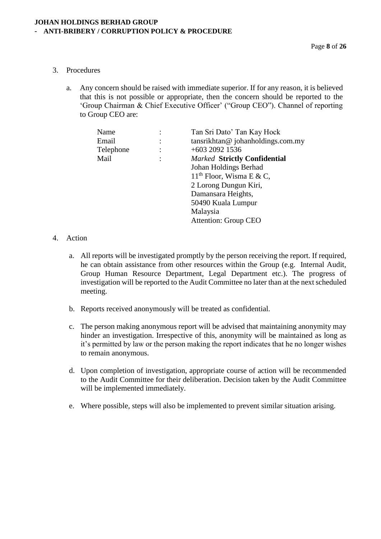- 3. Procedures
	- a. Any concern should be raised with immediate superior. If for any reason, it is believed that this is not possible or appropriate, then the concern should be reported to the 'Group Chairman & Chief Executive Officer' ("Group CEO"). Channel of reporting to Group CEO are:

| Name      | Tan Sri Dato' Tan Kay Hock          |
|-----------|-------------------------------------|
| Email     | tansrikhtan@johanholdings.com.my    |
| Telephone | $+603$ 2092 1536                    |
| Mail      | <b>Marked Strictly Confidential</b> |
|           | Johan Holdings Berhad               |
|           | $11th$ Floor, Wisma E & C,          |
|           | 2 Lorong Dungun Kiri,               |
|           | Damansara Heights,                  |
|           | 50490 Kuala Lumpur                  |
|           | Malaysia                            |
|           | <b>Attention: Group CEO</b>         |

# 4. Action

- a. All reports will be investigated promptly by the person receiving the report. If required, he can obtain assistance from other resources within the Group (e.g. Internal Audit, Group Human Resource Department, Legal Department etc.). The progress of investigation will be reported to the Audit Committee no later than at the next scheduled meeting.
- b. Reports received anonymously will be treated as confidential.
- c. The person making anonymous report will be advised that maintaining anonymity may hinder an investigation. Irrespective of this, anonymity will be maintained as long as it's permitted by law or the person making the report indicates that he no longer wishes to remain anonymous.
- d. Upon completion of investigation, appropriate course of action will be recommended to the Audit Committee for their deliberation. Decision taken by the Audit Committee will be implemented immediately.
- e. Where possible, steps will also be implemented to prevent similar situation arising.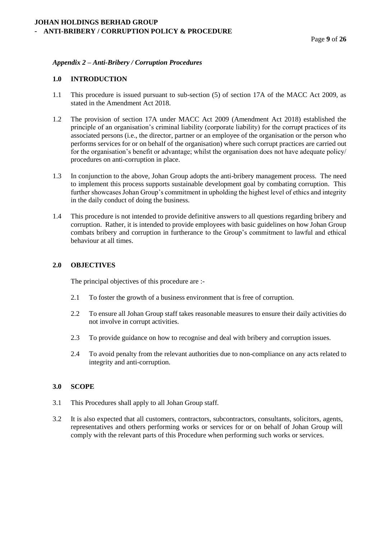# *Appendix 2 – Anti-Bribery / Corruption Procedures*

#### **1.0 INTRODUCTION**

- 1.1 This procedure is issued pursuant to sub-section (5) of section 17A of the MACC Act 2009, as stated in the Amendment Act 2018.
- 1.2 The provision of section 17A under MACC Act 2009 (Amendment Act 2018) established the principle of an organisation's criminal liability (corporate liability) for the corrupt practices of its associated persons (i.e., the director, partner or an employee of the organisation or the person who performs services for or on behalf of the organisation) where such corrupt practices are carried out for the organisation's benefit or advantage; whilst the organisation does not have adequate policy/ procedures on anti-corruption in place.
- 1.3 In conjunction to the above, Johan Group adopts the anti-bribery management process. The need to implement this process supports sustainable development goal by combating corruption. This further showcases Johan Group's commitment in upholding the highest level of ethics and integrity in the daily conduct of doing the business.
- 1.4 This procedure is not intended to provide definitive answers to all questions regarding bribery and corruption. Rather, it is intended to provide employees with basic guidelines on how Johan Group combats bribery and corruption in furtherance to the Group's commitment to lawful and ethical behaviour at all times.

#### **2.0 OBJECTIVES**

The principal objectives of this procedure are :-

- 2.1 To foster the growth of a business environment that is free of corruption.
- 2.2 To ensure all Johan Group staff takes reasonable measures to ensure their daily activities do not involve in corrupt activities.
- 2.3 To provide guidance on how to recognise and deal with bribery and corruption issues.
- 2.4 To avoid penalty from the relevant authorities due to non-compliance on any acts related to integrity and anti-corruption.

#### **3.0 SCOPE**

- 3.1 This Procedures shall apply to all Johan Group staff.
- 3.2 It is also expected that all customers, contractors, subcontractors, consultants, solicitors, agents, representatives and others performing works or services for or on behalf of Johan Group will comply with the relevant parts of this Procedure when performing such works or services.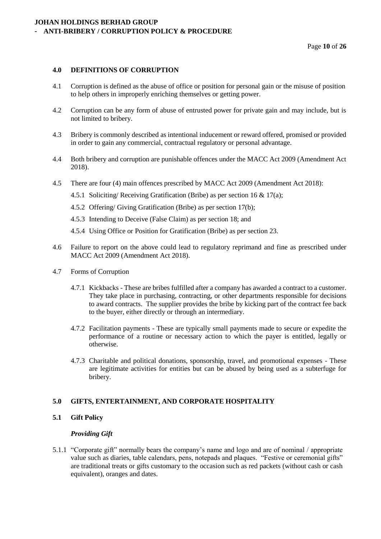Page **10** of **26**

#### **4.0 DEFINITIONS OF CORRUPTION**

- 4.1 Corruption is defined as the abuse of office or position for personal gain or the misuse of position to help others in improperly enriching themselves or getting power.
- 4.2 Corruption can be any form of abuse of entrusted power for private gain and may include, but is not limited to bribery.
- 4.3 Bribery is commonly described as intentional inducement or reward offered, promised or provided in order to gain any commercial, contractual regulatory or personal advantage.
- 4.4 Both bribery and corruption are punishable offences under the MACC Act 2009 (Amendment Act 2018).
- 4.5 There are four (4) main offences prescribed by MACC Act 2009 (Amendment Act 2018):
	- 4.5.1 Soliciting/ Receiving Gratification (Bribe) as per section 16 & 17(a);
	- 4.5.2 Offering/ Giving Gratification (Bribe) as per section 17(b);
	- 4.5.3 Intending to Deceive (False Claim) as per section 18; and
	- 4.5.4 Using Office or Position for Gratification (Bribe) as per section 23.
- 4.6 Failure to report on the above could lead to regulatory reprimand and fine as prescribed under MACC Act 2009 (Amendment Act 2018).
- 4.7 Forms of Corruption
	- 4.7.1 Kickbacks These are bribes fulfilled after a company has awarded a contract to a customer. They take place in purchasing, contracting, or other departments responsible for decisions to award contracts. The supplier provides the bribe by kicking part of the contract fee back to the buyer, either directly or through an intermediary.
	- 4.7.2 Facilitation payments These are typically small payments made to secure or expedite the performance of a routine or necessary action to which the payer is entitled, legally or otherwise.
	- 4.7.3 Charitable and political donations, sponsorship, travel, and promotional expenses These are legitimate activities for entities but can be abused by being used as a subterfuge for bribery.

#### **5.0 GIFTS, ENTERTAINMENT, AND CORPORATE HOSPITALITY**

#### **5.1 Gift Policy**

#### *Providing Gift*

5.1.1 "Corporate gift" normally bears the company's name and logo and are of nominal / appropriate value such as diaries, table calendars, pens, notepads and plaques. "Festive or ceremonial gifts" are traditional treats or gifts customary to the occasion such as red packets (without cash or cash equivalent), oranges and dates.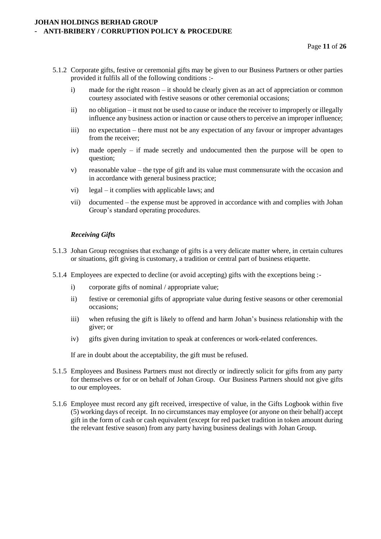- 5.1.2 Corporate gifts, festive or ceremonial gifts may be given to our Business Partners or other parties provided it fulfils all of the following conditions :
	- i) made for the right reason it should be clearly given as an act of appreciation or common courtesy associated with festive seasons or other ceremonial occasions;
	- ii) no obligation it must not be used to cause or induce the receiver to improperly or illegally influence any business action or inaction or cause others to perceive an improper influence;
	- iii) no expectation there must not be any expectation of any favour or improper advantages from the receiver;
	- iv) made openly if made secretly and undocumented then the purpose will be open to question;
	- v) reasonable value the type of gift and its value must commensurate with the occasion and in accordance with general business practice;
	- vi) legal it complies with applicable laws; and
	- vii) documented the expense must be approved in accordance with and complies with Johan Group's standard operating procedures.

#### *Receiving Gifts*

- 5.1.3 Johan Group recognises that exchange of gifts is a very delicate matter where, in certain cultures or situations, gift giving is customary, a tradition or central part of business etiquette.
- 5.1.4 Employees are expected to decline (or avoid accepting) gifts with the exceptions being :
	- i) corporate gifts of nominal / appropriate value;
	- ii) festive or ceremonial gifts of appropriate value during festive seasons or other ceremonial occasions;
	- iii) when refusing the gift is likely to offend and harm Johan's business relationship with the giver; or
	- iv) gifts given during invitation to speak at conferences or work-related conferences.

If are in doubt about the acceptability, the gift must be refused.

- 5.1.5 Employees and Business Partners must not directly or indirectly solicit for gifts from any party for themselves or for or on behalf of Johan Group. Our Business Partners should not give gifts to our employees.
- 5.1.6 Employee must record any gift received, irrespective of value, in the Gifts Logbook within five (5) working days of receipt. In no circumstances may employee (or anyone on their behalf) accept gift in the form of cash or cash equivalent (except for red packet tradition in token amount during the relevant festive season) from any party having business dealings with Johan Group.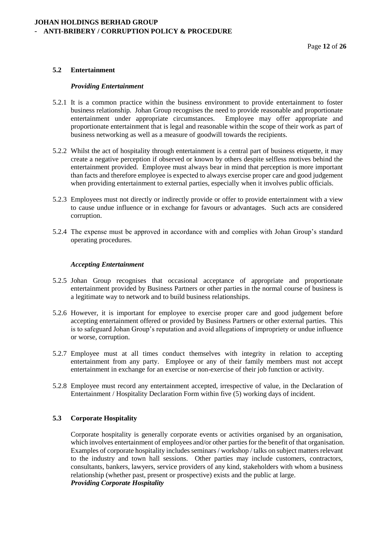# **5.2 Entertainment**

#### *Providing Entertainment*

- 5.2.1 It is a common practice within the business environment to provide entertainment to foster business relationship. Johan Group recognises the need to provide reasonable and proportionate entertainment under appropriate circumstances. Employee may offer appropriate and proportionate entertainment that is legal and reasonable within the scope of their work as part of business networking as well as a measure of goodwill towards the recipients.
- 5.2.2 Whilst the act of hospitality through entertainment is a central part of business etiquette, it may create a negative perception if observed or known by others despite selfless motives behind the entertainment provided. Employee must always bear in mind that perception is more important than facts and therefore employee is expected to always exercise proper care and good judgement when providing entertainment to external parties, especially when it involves public officials.
- 5.2.3 Employees must not directly or indirectly provide or offer to provide entertainment with a view to cause undue influence or in exchange for favours or advantages. Such acts are considered corruption.
- 5.2.4 The expense must be approved in accordance with and complies with Johan Group's standard operating procedures.

#### *Accepting Entertainment*

- 5.2.5 Johan Group recognises that occasional acceptance of appropriate and proportionate entertainment provided by Business Partners or other parties in the normal course of business is a legitimate way to network and to build business relationships.
- 5.2.6 However, it is important for employee to exercise proper care and good judgement before accepting entertainment offered or provided by Business Partners or other external parties. This is to safeguard Johan Group's reputation and avoid allegations of impropriety or undue influence or worse, corruption.
- 5.2.7 Employee must at all times conduct themselves with integrity in relation to accepting entertainment from any party. Employee or any of their family members must not accept entertainment in exchange for an exercise or non-exercise of their job function or activity.
- 5.2.8 Employee must record any entertainment accepted, irrespective of value, in the Declaration of Entertainment / Hospitality Declaration Form within five (5) working days of incident.

#### **5.3 Corporate Hospitality**

Corporate hospitality is generally corporate events or activities organised by an organisation, which involves entertainment of employees and/or other parties for the benefit of that organisation. Examples of corporate hospitality includes seminars / workshop / talks on subject matters relevant to the industry and town hall sessions. Other parties may include customers, contractors, consultants, bankers, lawyers, service providers of any kind, stakeholders with whom a business relationship (whether past, present or prospective) exists and the public at large. *Providing Corporate Hospitality*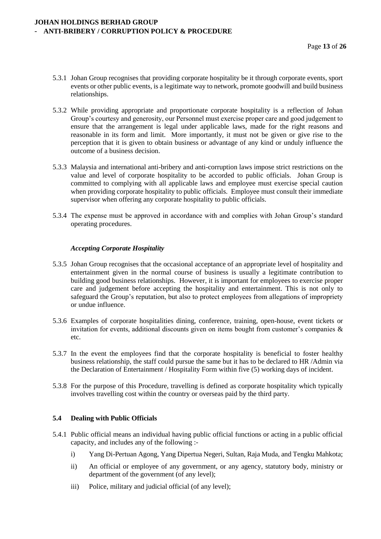- 5.3.1 Johan Group recognises that providing corporate hospitality be it through corporate events, sport events or other public events, is a legitimate way to network, promote goodwill and build business relationships.
- 5.3.2 While providing appropriate and proportionate corporate hospitality is a reflection of Johan Group's courtesy and generosity, our Personnel must exercise proper care and good judgement to ensure that the arrangement is legal under applicable laws, made for the right reasons and reasonable in its form and limit. More importantly, it must not be given or give rise to the perception that it is given to obtain business or advantage of any kind or unduly influence the outcome of a business decision.
- 5.3.3 Malaysia and international anti-bribery and anti-corruption laws impose strict restrictions on the value and level of corporate hospitality to be accorded to public officials. Johan Group is committed to complying with all applicable laws and employee must exercise special caution when providing corporate hospitality to public officials. Employee must consult their immediate supervisor when offering any corporate hospitality to public officials.
- 5.3.4 The expense must be approved in accordance with and complies with Johan Group's standard operating procedures.

# *Accepting Corporate Hospitality*

- 5.3.5 Johan Group recognises that the occasional acceptance of an appropriate level of hospitality and entertainment given in the normal course of business is usually a legitimate contribution to building good business relationships. However, it is important for employees to exercise proper care and judgement before accepting the hospitality and entertainment. This is not only to safeguard the Group's reputation, but also to protect employees from allegations of impropriety or undue influence.
- 5.3.6 Examples of corporate hospitalities dining, conference, training, open-house, event tickets or invitation for events, additional discounts given on items bought from customer's companies & etc.
- 5.3.7 In the event the employees find that the corporate hospitality is beneficial to foster healthy business relationship, the staff could pursue the same but it has to be declared to HR /Admin via the Declaration of Entertainment / Hospitality Form within five (5) working days of incident.
- 5.3.8 For the purpose of this Procedure, travelling is defined as corporate hospitality which typically involves travelling cost within the country or overseas paid by the third party.

#### **5.4 Dealing with Public Officials**

- 5.4.1 Public official means an individual having public official functions or acting in a public official capacity, and includes any of the following :
	- i) Yang Di-Pertuan Agong, Yang Dipertua Negeri, Sultan, Raja Muda, and Tengku Mahkota;
	- ii) An official or employee of any government, or any agency, statutory body, ministry or department of the government (of any level);
	- iii) Police, military and judicial official (of any level);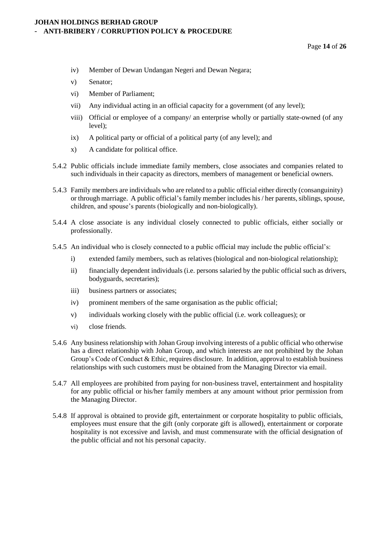- iv) Member of Dewan Undangan Negeri and Dewan Negara;
- v) Senator;
- vi) Member of Parliament;
- vii) Any individual acting in an official capacity for a government (of any level);
- viii) Official or employee of a company/ an enterprise wholly or partially state-owned (of any level);
- ix) A political party or official of a political party (of any level); and
- x) A candidate for political office.
- 5.4.2 Public officials include immediate family members, close associates and companies related to such individuals in their capacity as directors, members of management or beneficial owners.
- 5.4.3 Family members are individuals who are related to a public official either directly (consanguinity) or through marriage. A public official's family member includes his/ her parents, siblings, spouse, children, and spouse's parents (biologically and non-biologically).
- 5.4.4 A close associate is any individual closely connected to public officials, either socially or professionally.
- 5.4.5 An individual who is closely connected to a public official may include the public official's:
	- i) extended family members, such as relatives (biological and non-biological relationship);
	- ii) financially dependent individuals (i.e. persons salaried by the public official such as drivers, bodyguards, secretaries);
	- iii) business partners or associates;
	- iv) prominent members of the same organisation as the public official;
	- v) individuals working closely with the public official (i.e. work colleagues); or
	- vi) close friends.
- 5.4.6 Any business relationship with Johan Group involving interests of a public official who otherwise has a direct relationship with Johan Group, and which interests are not prohibited by the Johan Group's Code of Conduct & Ethic, requires disclosure. In addition, approval to establish business relationships with such customers must be obtained from the Managing Director via email.
- 5.4.7 All employees are prohibited from paying for non-business travel, entertainment and hospitality for any public official or his/her family members at any amount without prior permission from the Managing Director.
- 5.4.8 If approval is obtained to provide gift, entertainment or corporate hospitality to public officials, employees must ensure that the gift (only corporate gift is allowed), entertainment or corporate hospitality is not excessive and lavish, and must commensurate with the official designation of the public official and not his personal capacity.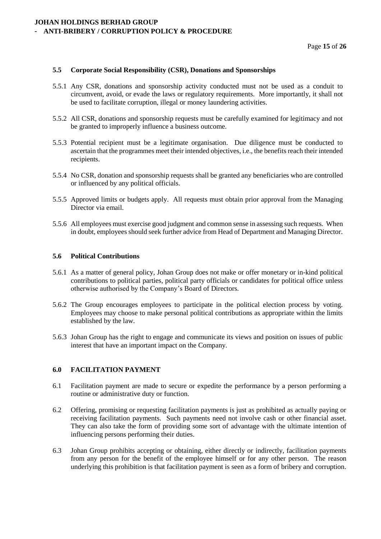#### **5.5 Corporate Social Responsibility (CSR), Donations and Sponsorships**

- 5.5.1 Any CSR, donations and sponsorship activity conducted must not be used as a conduit to circumvent, avoid, or evade the laws or regulatory requirements. More importantly, it shall not be used to facilitate corruption, illegal or money laundering activities.
- 5.5.2 All CSR, donations and sponsorship requests must be carefully examined for legitimacy and not be granted to improperly influence a business outcome.
- 5.5.3 Potential recipient must be a legitimate organisation. Due diligence must be conducted to ascertain that the programmes meet their intended objectives, i.e., the benefits reach their intended recipients.
- 5.5.4 No CSR, donation and sponsorship requests shall be granted any beneficiaries who are controlled or influenced by any political officials.
- 5.5.5 Approved limits or budgets apply. All requests must obtain prior approval from the Managing Director via email.
- 5.5.6 All employees must exercise good judgment and common sense in assessing such requests. When in doubt, employees should seek further advice from Head of Department and Managing Director.

#### **5.6 Political Contributions**

- 5.6.1 As a matter of general policy, Johan Group does not make or offer monetary or in-kind political contributions to political parties, political party officials or candidates for political office unless otherwise authorised by the Company's Board of Directors.
- 5.6.2 The Group encourages employees to participate in the political election process by voting. Employees may choose to make personal political contributions as appropriate within the limits established by the law.
- 5.6.3 Johan Group has the right to engage and communicate its views and position on issues of public interest that have an important impact on the Company.

#### **6.0 FACILITATION PAYMENT**

- 6.1 Facilitation payment are made to secure or expedite the performance by a person performing a routine or administrative duty or function.
- 6.2 Offering, promising or requesting facilitation payments is just as prohibited as actually paying or receiving facilitation payments. Such payments need not involve cash or other financial asset. They can also take the form of providing some sort of advantage with the ultimate intention of influencing persons performing their duties.
- 6.3 Johan Group prohibits accepting or obtaining, either directly or indirectly, facilitation payments from any person for the benefit of the employee himself or for any other person. The reason underlying this prohibition is that facilitation payment is seen as a form of bribery and corruption.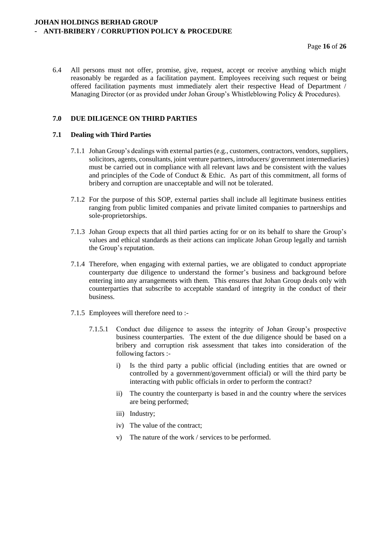6.4 All persons must not offer, promise, give, request, accept or receive anything which might reasonably be regarded as a facilitation payment. Employees receiving such request or being offered facilitation payments must immediately alert their respective Head of Department / Managing Director (or as provided under Johan Group's Whistleblowing Policy & Procedures).

# **7.0 DUE DILIGENCE ON THIRD PARTIES**

#### **7.1 Dealing with Third Parties**

- 7.1.1 Johan Group's dealings with external parties (e.g., customers, contractors, vendors, suppliers, solicitors, agents, consultants, joint venture partners, introducers/ government intermediaries) must be carried out in compliance with all relevant laws and be consistent with the values and principles of the Code of Conduct & Ethic. As part of this commitment, all forms of bribery and corruption are unacceptable and will not be tolerated.
- 7.1.2 For the purpose of this SOP, external parties shall include all legitimate business entities ranging from public limited companies and private limited companies to partnerships and sole-proprietorships.
- 7.1.3 Johan Group expects that all third parties acting for or on its behalf to share the Group's values and ethical standards as their actions can implicate Johan Group legally and tarnish the Group's reputation.
- 7.1.4 Therefore, when engaging with external parties, we are obligated to conduct appropriate counterparty due diligence to understand the former's business and background before entering into any arrangements with them. This ensures that Johan Group deals only with counterparties that subscribe to acceptable standard of integrity in the conduct of their business.
- 7.1.5 Employees will therefore need to :-
	- 7.1.5.1 Conduct due diligence to assess the integrity of Johan Group's prospective business counterparties. The extent of the due diligence should be based on a bribery and corruption risk assessment that takes into consideration of the following factors :
		- i) Is the third party a public official (including entities that are owned or controlled by a government/government official) or will the third party be interacting with public officials in order to perform the contract?
		- ii) The country the counterparty is based in and the country where the services are being performed;
		- iii) Industry;
		- iv) The value of the contract;
		- v) The nature of the work / services to be performed.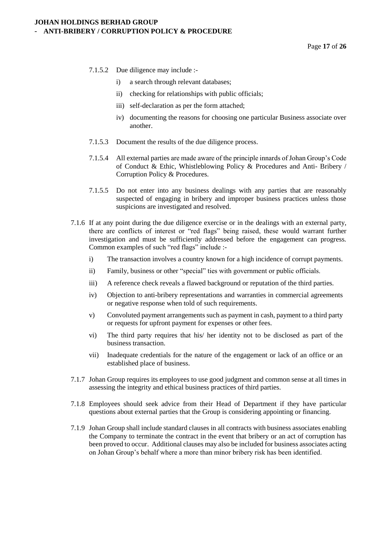- 7.1.5.2 Due diligence may include :
	- i) a search through relevant databases;
	- ii) checking for relationships with public officials;
	- iii) self-declaration as per the form attached;
	- iv) documenting the reasons for choosing one particular Business associate over another.
- 7.1.5.3 Document the results of the due diligence process.
- 7.1.5.4 All external parties are made aware of the principle innards of Johan Group's Code of Conduct & Ethic, Whistleblowing Policy & Procedures and Anti- Bribery / Corruption Policy & Procedures.
- 7.1.5.5 Do not enter into any business dealings with any parties that are reasonably suspected of engaging in bribery and improper business practices unless those suspicions are investigated and resolved.
- 7.1.6 If at any point during the due diligence exercise or in the dealings with an external party, there are conflicts of interest or "red flags" being raised, these would warrant further investigation and must be sufficiently addressed before the engagement can progress. Common examples of such "red flags" include :
	- i) The transaction involves a country known for a high incidence of corrupt payments.
	- ii) Family, business or other "special" ties with government or public officials.
	- iii) A reference check reveals a flawed background or reputation of the third parties.
	- iv) Objection to anti-bribery representations and warranties in commercial agreements or negative response when told of such requirements.
	- v) Convoluted payment arrangements such as payment in cash, payment to a third party or requests for upfront payment for expenses or other fees.
	- vi) The third party requires that his/ her identity not to be disclosed as part of the business transaction.
	- vii) Inadequate credentials for the nature of the engagement or lack of an office or an established place of business.
- 7.1.7 Johan Group requires its employees to use good judgment and common sense at all times in assessing the integrity and ethical business practices of third parties.
- 7.1.8 Employees should seek advice from their Head of Department if they have particular questions about external parties that the Group is considering appointing or financing.
- 7.1.9 Johan Group shall include standard clauses in all contracts with business associates enabling the Company to terminate the contract in the event that bribery or an act of corruption has been proved to occur. Additional clauses may also be included for business associates acting on Johan Group's behalf where a more than minor bribery risk has been identified.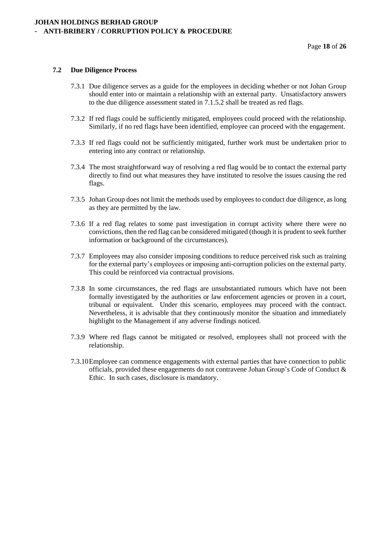## **7.2 Due Diligence Process**

- 7.3.1 Due diligence serves as a guide for the employees in deciding whether or not Johan Group should enter into or maintain a relationship with an external party. Unsatisfactory answers to the due diligence assessment stated in 7.1.5.2 shall be treated as red flags.
- 7.3.2 If red flags could be sufficiently mitigated, employees could proceed with the relationship. Similarly, if no red flags have been identified, employee can proceed with the engagement.
- 7.3.3 If red flags could not be sufficiently mitigated, further work must be undertaken prior to entering into any contract or relationship.
- 7.3.4 The most straightforward way of resolving a red flag would be to contact the external party directly to find out what measures they have instituted to resolve the issues causing the red flags.
- 7.3.5 Johan Group does not limit the methods used by employees to conduct due diligence, as long as they are permitted by the law.
- 7.3.6 If a red flag relates to some past investigation in corrupt activity where there were no convictions, then the red flag can be considered mitigated (though it is prudent to seek further information or background of the circumstances).
- 7.3.7 Employees may also consider imposing conditions to reduce perceived risk such as training for the external party's employees or imposing anti-corruption policies on the external party. This could be reinforced via contractual provisions.
- 7.3.8 In some circumstances, the red flags are unsubstantiated rumours which have not been formally investigated by the authorities or law enforcement agencies or proven in a court, tribunal or equivalent. Under this scenario, employees may proceed with the contract. Nevertheless, it is advisable that they continuously monitor the situation and immediately highlight to the Management if any adverse findings noticed.
- 7.3.9 Where red flags cannot be mitigated or resolved, employees shall not proceed with the relationship.
- 7.3.10Employee can commence engagements with external parties that have connection to public officials, provided these engagements do not contravene Johan Group's Code of Conduct & Ethic. In such cases, disclosure is mandatory.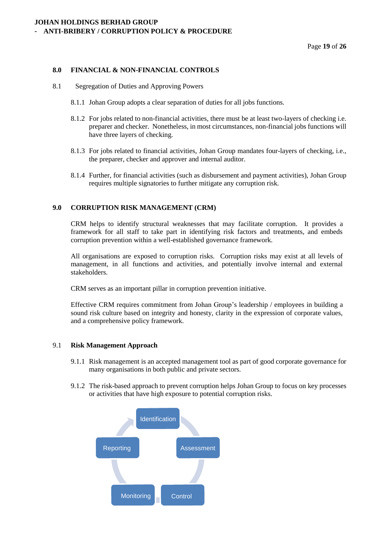Page **19** of **26**

#### **8.0 FINANCIAL & NON-FINANCIAL CONTROLS**

- 8.1 Segregation of Duties and Approving Powers
	- 8.1.1 Johan Group adopts a clear separation of duties for all jobs functions.
	- 8.1.2 For jobs related to non-financial activities, there must be at least two-layers of checking i.e. preparer and checker. Nonetheless, in most circumstances, non-financial jobs functions will have three layers of checking.
	- 8.1.3 For jobs related to financial activities, Johan Group mandates four-layers of checking, i.e., the preparer, checker and approver and internal auditor.
	- 8.1.4 Further, for financial activities (such as disbursement and payment activities), Johan Group requires multiple signatories to further mitigate any corruption risk.

#### **9.0 CORRUPTION RISK MANAGEMENT (CRM)**

CRM helps to identify structural weaknesses that may facilitate corruption. It provides a framework for all staff to take part in identifying risk factors and treatments, and embeds corruption prevention within a well-established governance framework.

All organisations are exposed to corruption risks. Corruption risks may exist at all levels of management, in all functions and activities, and potentially involve internal and external stakeholders.

CRM serves as an important pillar in corruption prevention initiative.

Effective CRM requires commitment from Johan Group's leadership / employees in building a sound risk culture based on integrity and honesty, clarity in the expression of corporate values, and a comprehensive policy framework.

#### 9.1 **Risk Management Approach**

- 9.1.1 Risk management is an accepted management tool as part of good corporate governance for many organisations in both public and private sectors.
- 9.1.2 The risk-based approach to prevent corruption helps Johan Group to focus on key processes or activities that have high exposure to potential corruption risks.

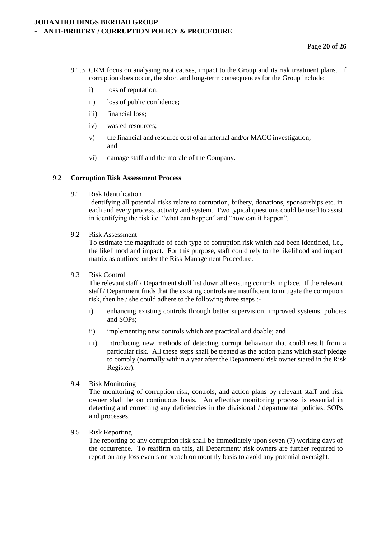- 9.1.3 CRM focus on analysing root causes, impact to the Group and its risk treatment plans. If corruption does occur, the short and long-term consequences for the Group include:
	- i) loss of reputation;
	- ii) loss of public confidence;
	- iii) financial loss;
	- iv) wasted resources;
	- v) the financial and resource cost of an internal and/or MACC investigation; and
	- vi) damage staff and the morale of the Company.

#### 9.2 **Corruption Risk Assessment Process**

9.1 Risk Identification

Identifying all potential risks relate to corruption, bribery, donations, sponsorships etc. in each and every process, activity and system. Two typical questions could be used to assist in identifying the risk i.e. "what can happen" and "how can it happen".

9.2 Risk Assessment

To estimate the magnitude of each type of corruption risk which had been identified, i.e., the likelihood and impact. For this purpose, staff could rely to the likelihood and impact matrix as outlined under the Risk Management Procedure.

9.3 Risk Control

The relevant staff / Department shall list down all existing controls in place. If the relevant staff / Department finds that the existing controls are insufficient to mitigate the corruption risk, then he / she could adhere to the following three steps :-

- i) enhancing existing controls through better supervision, improved systems, policies and SOPs;
- ii) implementing new controls which are practical and doable; and
- iii) introducing new methods of detecting corrupt behaviour that could result from a particular risk. All these steps shall be treated as the action plans which staff pledge to comply (normally within a year after the Department/ risk owner stated in the Risk Register).
- 9.4 Risk Monitoring

The monitoring of corruption risk, controls, and action plans by relevant staff and risk owner shall be on continuous basis. An effective monitoring process is essential in detecting and correcting any deficiencies in the divisional / departmental policies, SOPs and processes.

9.5 Risk Reporting

The reporting of any corruption risk shall be immediately upon seven (7) working days of the occurrence. To reaffirm on this, all Department/ risk owners are further required to report on any loss events or breach on monthly basis to avoid any potential oversight.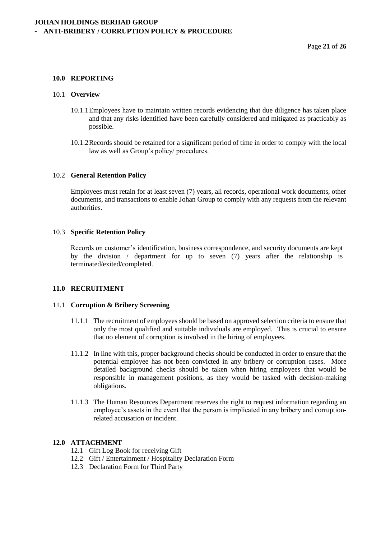#### **10.0 REPORTING**

#### 10.1 **Overview**

- 10.1.1Employees have to maintain written records evidencing that due diligence has taken place and that any risks identified have been carefully considered and mitigated as practicably as possible.
- 10.1.2Records should be retained for a significant period of time in order to comply with the local law as well as Group's policy/ procedures.

#### 10.2 **General Retention Policy**

Employees must retain for at least seven (7) years, all records, operational work documents, other documents, and transactions to enable Johan Group to comply with any requests from the relevant authorities.

#### 10.3 **Specific Retention Policy**

Records on customer's identification, business correspondence, and security documents are kept by the division / department for up to seven (7) years after the relationship is terminated/exited/completed.

#### **11.0 RECRUITMENT**

#### 11.1 **Corruption & Bribery Screening**

- 11.1.1 The recruitment of employees should be based on approved selection criteria to ensure that only the most qualified and suitable individuals are employed. This is crucial to ensure that no element of corruption is involved in the hiring of employees.
- 11.1.2 In line with this, proper background checks should be conducted in order to ensure that the potential employee has not been convicted in any bribery or corruption cases. More detailed background checks should be taken when hiring employees that would be responsible in management positions, as they would be tasked with decision-making obligations.
- 11.1.3 The Human Resources Department reserves the right to request information regarding an employee's assets in the event that the person is implicated in any bribery and corruptionrelated accusation or incident.

#### **12.0 ATTACHMENT**

- 12.1 Gift Log Book for receiving Gift
- 12.2 Gift / Entertainment / Hospitality Declaration Form
- 12.3 Declaration Form for Third Party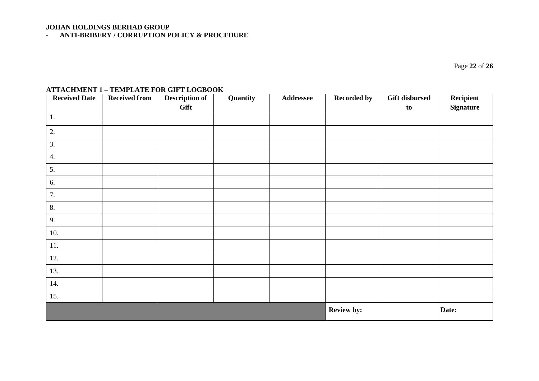# **JOHAN HOLDINGS BERHAD GROUP**

**- ANTI-BRIBERY / CORRUPTION POLICY & PROCEDURE**

Page **22** of **26**

# **ATTACHMENT 1 – TEMPLATE FOR GIFT LOGBOOK**

| <b>Received Date</b> | <b>Received from</b> | <b>Description of</b> | Quantity | Addressee         | <b>Recorded by</b> | <b>Gift disbursed</b> | Recipient        |
|----------------------|----------------------|-----------------------|----------|-------------------|--------------------|-----------------------|------------------|
|                      |                      | Gift                  |          |                   |                    | to                    | <b>Signature</b> |
| 1.                   |                      |                       |          |                   |                    |                       |                  |
| 2.                   |                      |                       |          |                   |                    |                       |                  |
| 3.                   |                      |                       |          |                   |                    |                       |                  |
| 4.                   |                      |                       |          |                   |                    |                       |                  |
| 5.                   |                      |                       |          |                   |                    |                       |                  |
| 6.                   |                      |                       |          |                   |                    |                       |                  |
| 7.                   |                      |                       |          |                   |                    |                       |                  |
| 8.                   |                      |                       |          |                   |                    |                       |                  |
| 9.                   |                      |                       |          |                   |                    |                       |                  |
| 10.                  |                      |                       |          |                   |                    |                       |                  |
| 11.                  |                      |                       |          |                   |                    |                       |                  |
| 12.                  |                      |                       |          |                   |                    |                       |                  |
| 13.                  |                      |                       |          |                   |                    |                       |                  |
| 14.                  |                      |                       |          |                   |                    |                       |                  |
| 15.                  |                      |                       |          |                   |                    |                       |                  |
|                      |                      |                       |          | <b>Review by:</b> |                    | Date:                 |                  |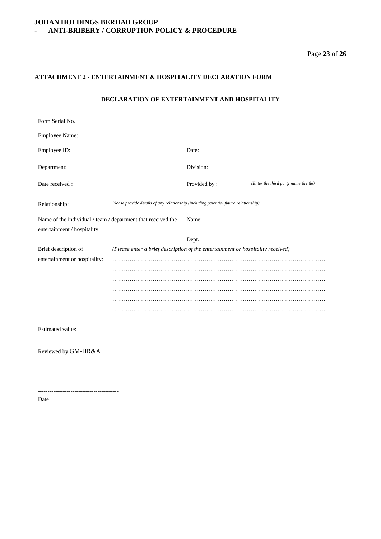# Page **23** of **26**

#### **ATTACHMENT 2 - ENTERTAINMENT & HOSPITALITY DECLARATION FORM**

#### **DECLARATION OF ENTERTAINMENT AND HOSPITALITY**

| Form Serial No.                                                                              |                                                                                      |              |                                      |  |
|----------------------------------------------------------------------------------------------|--------------------------------------------------------------------------------------|--------------|--------------------------------------|--|
| Employee Name:                                                                               |                                                                                      |              |                                      |  |
| Employee ID:                                                                                 |                                                                                      | Date:        |                                      |  |
| Department:                                                                                  |                                                                                      | Division:    |                                      |  |
| Date received:                                                                               |                                                                                      | Provided by: | (Enter the third party name & title) |  |
| Relationship:                                                                                | Please provide details of any relationship (including potential future relationship) |              |                                      |  |
| Name of the individual / team / department that received the<br>entertainment / hospitality: |                                                                                      | Name:        |                                      |  |
|                                                                                              |                                                                                      | Dept.:       |                                      |  |
| Brief description of<br>entertainment or hospitality:                                        | (Please enter a brief description of the entertainment or hospitality received)      |              |                                      |  |
| Estimated value:                                                                             |                                                                                      |              |                                      |  |

Reviewed by GM-HR&A

------------------------------------------

Date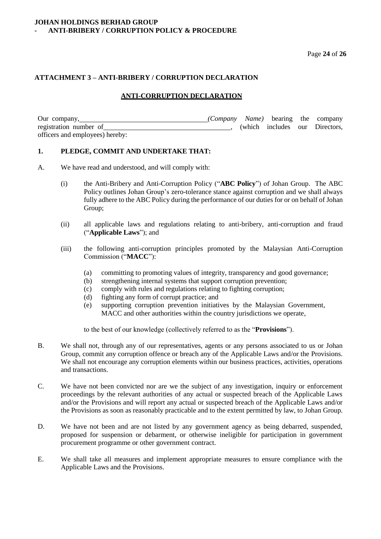Page **24** of **26**

#### **ATTACHMENT 3 – ANTI-BRIBERY / CORRUPTION DECLARATION**

# **ANTI-CORRUPTION DECLARATION**

| Our company,                    | ( <i>Company Name</i> ) bearing the company |  |                                |
|---------------------------------|---------------------------------------------|--|--------------------------------|
| registration number of          |                                             |  | (which includes our Directors, |
| officers and employees) hereby: |                                             |  |                                |

#### **1. PLEDGE, COMMIT AND UNDERTAKE THAT:**

- A. We have read and understood, and will comply with:
	- (i) the Anti-Bribery and Anti-Corruption Policy ("**ABC Policy**") of Johan Group. The ABC Policy outlines Johan Group's zero-tolerance stance against corruption and we shall always fully adhere to the ABC Policy during the performance of our duties for or on behalf of Johan Group:
	- (ii) all applicable laws and regulations relating to anti-bribery, anti-corruption and fraud ("**Applicable Laws**"); and
	- (iii) the following anti-corruption principles promoted by the Malaysian Anti-Corruption Commission ("**MACC**"):
		- (a) committing to promoting values of integrity, transparency and good governance;
		- (b) strengthening internal systems that support corruption prevention;
		- (c) comply with rules and regulations relating to fighting corruption;
		- (d) fighting any form of corrupt practice; and
		- (e) supporting corruption prevention initiatives by the Malaysian Government, MACC and other authorities within the country jurisdictions we operate,

to the best of our knowledge (collectively referred to as the "**Provisions**").

- B. We shall not, through any of our representatives, agents or any persons associated to us or Johan Group, commit any corruption offence or breach any of the Applicable Laws and/or the Provisions. We shall not encourage any corruption elements within our business practices, activities, operations and transactions.
- C. We have not been convicted nor are we the subject of any investigation, inquiry or enforcement proceedings by the relevant authorities of any actual or suspected breach of the Applicable Laws and/or the Provisions and will report any actual or suspected breach of the Applicable Laws and/or the Provisions as soon as reasonably practicable and to the extent permitted by law, to Johan Group.
- D. We have not been and are not listed by any government agency as being debarred, suspended, proposed for suspension or debarment, or otherwise ineligible for participation in government procurement programme or other government contract.
- E. We shall take all measures and implement appropriate measures to ensure compliance with the Applicable Laws and the Provisions.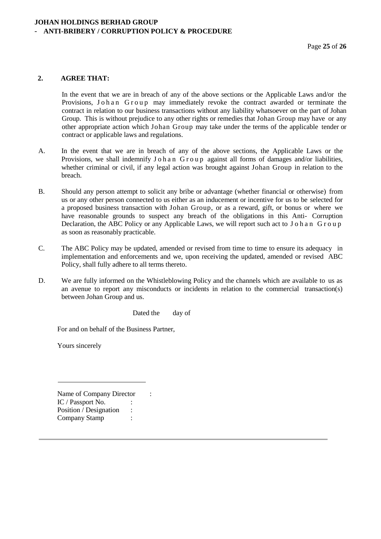#### **2. AGREE THAT:**

In the event that we are in breach of any of the above sections or the Applicable Laws and/or the Provisions, Johan Group may immediately revoke the contract awarded or terminate the contract in relation to our business transactions without any liability whatsoever on the part of Johan Group. This is without prejudice to any other rights or remedies that Johan Group may have or any other appropriate action which Johan Group may take under the terms of the applicable tender or contract or applicable laws and regulations.

- A. In the event that we are in breach of any of the above sections, the Applicable Laws or the Provisions, we shall indemnify J o h a n G r o u p against all forms of damages and/or liabilities, whether criminal or civil, if any legal action was brought against Johan Group in relation to the breach.
- B. Should any person attempt to solicit any bribe or advantage (whether financial or otherwise) from us or any other person connected to us either as an inducement or incentive for us to be selected for a proposed business transaction with Johan Group, or as a reward, gift, or bonus or where we have reasonable grounds to suspect any breach of the obligations in this Anti- Corruption Declaration, the ABC Policy or any Applicable Laws, we will report such act to J o h a n G r o u p as soon as reasonably practicable.
- C. The ABC Policy may be updated, amended or revised from time to time to ensure its adequacy in implementation and enforcements and we, upon receiving the updated, amended or revised ABC Policy, shall fully adhere to all terms thereto.
- D. We are fully informed on the Whistleblowing Policy and the channels which are available to us as an avenue to report any misconducts or incidents in relation to the commercial transaction(s) between Johan Group and us.

Dated the day of

For and on behalf of the Business Partner,

Yours sincerely

Name of Company Director : IC / Passport No. : Position / Designation : Company Stamp :